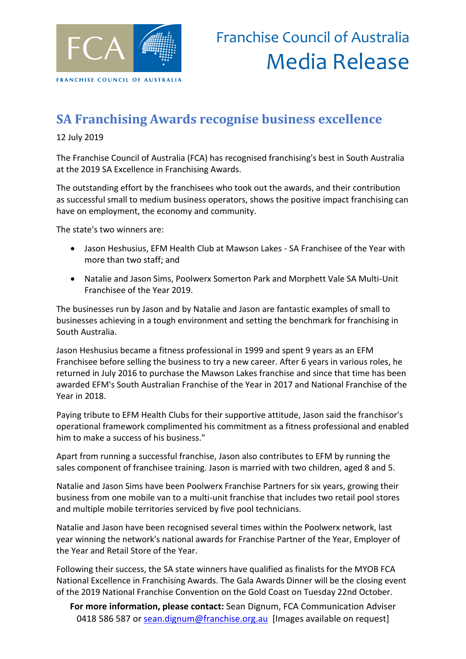

## **SA Franchising Awards recognise business excellence**

12 July 2019

The Franchise Council of Australia (FCA) has recognised franchising's best in South Australia at the 2019 SA Excellence in Franchising Awards.

The outstanding effort by the franchisees who took out the awards, and their contribution as successful small to medium business operators, shows the positive impact franchising can have on employment, the economy and community.

The state's two winners are:

- Jason Heshusius, EFM Health Club at Mawson Lakes SA Franchisee of the Year with more than two staff; and
- Natalie and Jason Sims, Poolwerx Somerton Park and Morphett Vale SA Multi-Unit Franchisee of the Year 2019.

The businesses run by Jason and by Natalie and Jason are fantastic examples of small to businesses achieving in a tough environment and setting the benchmark for franchising in South Australia.

Jason Heshusius became a fitness professional in 1999 and spent 9 years as an EFM Franchisee before selling the business to try a new career. After 6 years in various roles, he returned in July 2016 to purchase the Mawson Lakes franchise and since that time has been awarded EFM's South Australian Franchise of the Year in 2017 and National Franchise of the Year in 2018.

Paying tribute to EFM Health Clubs for their supportive attitude, Jason said the franchisor's operational framework complimented his commitment as a fitness professional and enabled him to make a success of his business."

Apart from running a successful franchise, Jason also contributes to EFM by running the sales component of franchisee training. Jason is married with two children, aged 8 and 5.

Natalie and Jason Sims have been Poolwerx Franchise Partners for six years, growing their business from one mobile van to a multi-unit franchise that includes two retail pool stores and multiple mobile territories serviced by five pool technicians.

Natalie and Jason have been recognised several times within the Poolwerx network, last year winning the network's national awards for Franchise Partner of the Year, Employer of the Year and Retail Store of the Year.

Following their success, the SA state winners have qualified as finalists for the MYOB FCA National Excellence in Franchising Awards. The Gala Awards Dinner will be the closing event of the 2019 National Franchise Convention on the Gold Coast on Tuesday 22nd October.

**For more information, please contact:** Sean Dignum, FCA Communication Adviser 0418 586 587 or [sean.dignum@franchise.org.au](mailto:sean.dignum@franchise.org.au) [Images available on request]